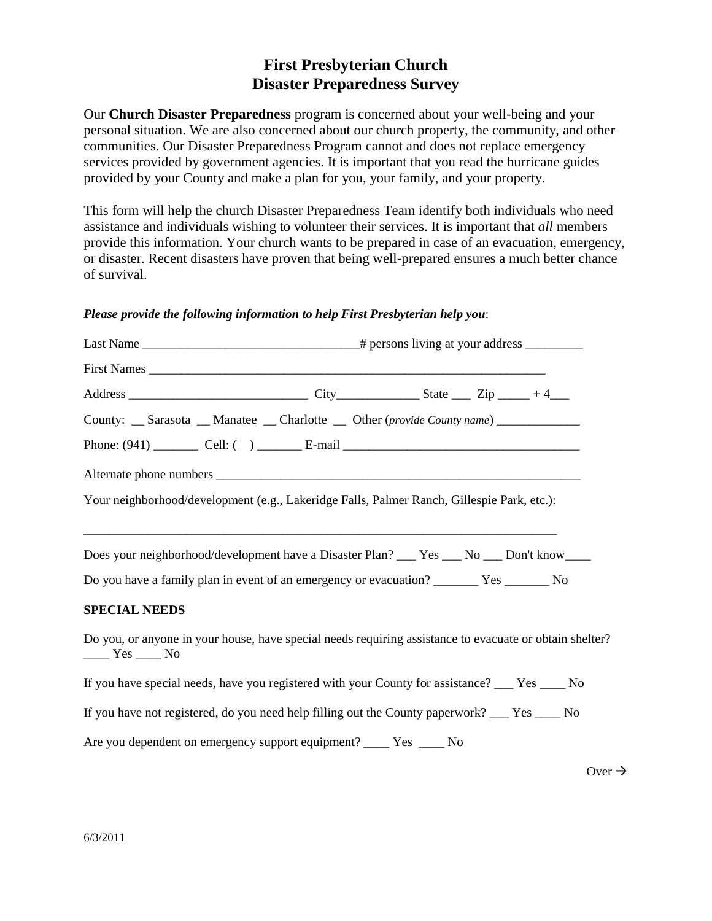# **First Presbyterian Church Disaster Preparedness Survey**

Our **Church Disaster Preparedness** program is concerned about your well-being and your personal situation. We are also concerned about our church property, the community, and other communities. Our Disaster Preparedness Program cannot and does not replace emergency services provided by government agencies. It is important that you read the hurricane guides provided by your County and make a plan for you, your family, and your property.

This form will help the church Disaster Preparedness Team identify both individuals who need assistance and individuals wishing to volunteer their services. It is important that *all* members provide this information. Your church wants to be prepared in case of an evacuation, emergency, or disaster. Recent disasters have proven that being well-prepared ensures a much better chance of survival.

# *Please provide the following information to help First Presbyterian help you*:

| County: __ Sarasota __ Manatee __ Charlotte __ Other (provide County name) ____________                                                                                                                                                                                                                                                                                                                                                                                                                                          |  |  |  |  |  |
|----------------------------------------------------------------------------------------------------------------------------------------------------------------------------------------------------------------------------------------------------------------------------------------------------------------------------------------------------------------------------------------------------------------------------------------------------------------------------------------------------------------------------------|--|--|--|--|--|
|                                                                                                                                                                                                                                                                                                                                                                                                                                                                                                                                  |  |  |  |  |  |
|                                                                                                                                                                                                                                                                                                                                                                                                                                                                                                                                  |  |  |  |  |  |
| Your neighborhood/development (e.g., Lakeridge Falls, Palmer Ranch, Gillespie Park, etc.):                                                                                                                                                                                                                                                                                                                                                                                                                                       |  |  |  |  |  |
| Does your neighborhood/development have a Disaster Plan? ___ Yes ___ No ___ Don't know____                                                                                                                                                                                                                                                                                                                                                                                                                                       |  |  |  |  |  |
| Do you have a family plan in event of an emergency or evacuation? _______ Yes _______ No                                                                                                                                                                                                                                                                                                                                                                                                                                         |  |  |  |  |  |
| <b>SPECIAL NEEDS</b>                                                                                                                                                                                                                                                                                                                                                                                                                                                                                                             |  |  |  |  |  |
| Do you, or anyone in your house, have special needs requiring assistance to evacuate or obtain shelter?<br>$\frac{1}{\sqrt{1-\frac{1}{1-\frac{1}{1-\frac{1}{1-\frac{1}{1-\frac{1}{1-\frac{1}{1-\frac{1}{1-\frac{1}{1-\frac{1}{1-\frac{1}{1-\frac{1}{1-\frac{1}{1-\frac{1}{1-\frac{1}{1-\frac{1}{1-\frac{1}{1-\frac{1}{1-\frac{1}{1-\frac{1}{1-\frac{1}{1-\frac{1}{1-\frac{1}{1-\frac{1}{1-\frac{1}{1-\frac{1}{1-\frac{1}{1-\frac{1}{1-\frac{1}{1-\frac{1}{1-\frac{1}{1-\frac{1}{1-\frac{1}{1-\frac{1}{1-\frac{1}{1-\frac{1}{1-\$ |  |  |  |  |  |
| If you have special needs, have you registered with your County for assistance? ___ Yes ____ No                                                                                                                                                                                                                                                                                                                                                                                                                                  |  |  |  |  |  |
| If you have not registered, do you need help filling out the County paperwork? __ Yes ___ No                                                                                                                                                                                                                                                                                                                                                                                                                                     |  |  |  |  |  |
| Are you dependent on emergency support equipment? _______ Yes ______ No                                                                                                                                                                                                                                                                                                                                                                                                                                                          |  |  |  |  |  |

 $Over \rightarrow$